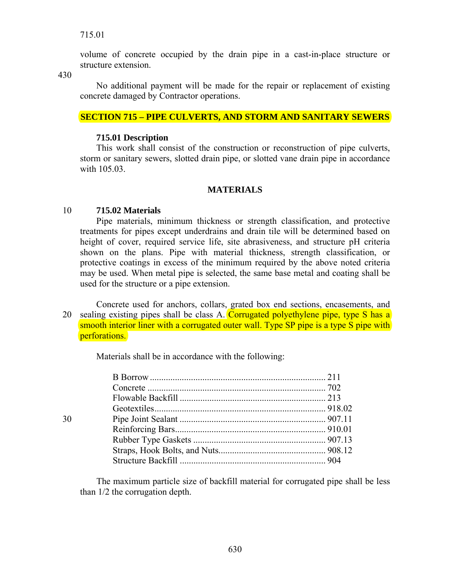volume of concrete occupied by the drain pipe in a cast-in-place structure or structure extension.

430

 No additional payment will be made for the repair or replacement of existing concrete damaged by Contractor operations.

## **SECTION 715 – PIPE CULVERTS, AND STORM AND SANITARY SEWERS**

#### **715.01 Description**

 This work shall consist of the construction or reconstruction of pipe culverts, storm or sanitary sewers, slotted drain pipe, or slotted vane drain pipe in accordance with 105.03.

## **MATERIALS**

## 10 **715.02 Materials**

 Pipe materials, minimum thickness or strength classification, and protective treatments for pipes except underdrains and drain tile will be determined based on height of cover, required service life, site abrasiveness, and structure pH criteria shown on the plans. Pipe with material thickness, strength classification, or protective coatings in excess of the minimum required by the above noted criteria may be used. When metal pipe is selected, the same base metal and coating shall be used for the structure or a pipe extension.

 Concrete used for anchors, collars, grated box end sections, encasements, and 20 sealing existing pipes shall be class A. Corrugated polyethylene pipe, type S has a smooth interior liner with a corrugated outer wall. Type SP pipe is a type S pipe with perforations.

Materials shall be in accordance with the following:

| 30 |  |
|----|--|
|    |  |
|    |  |
|    |  |
|    |  |
|    |  |

 The maximum particle size of backfill material for corrugated pipe shall be less than 1/2 the corrugation depth.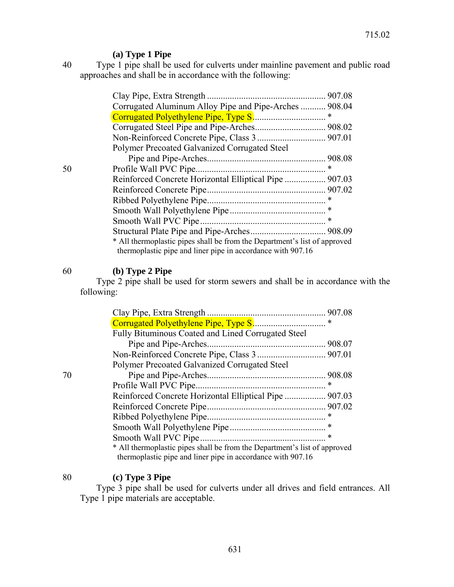# **(a) Type 1 Pipe**

40 Type 1 pipe shall be used for culverts under mainline pavement and public road approaches and shall be in accordance with the following:

|    |                                                                                                                                          | 907.08 |
|----|------------------------------------------------------------------------------------------------------------------------------------------|--------|
|    | Corrugated Aluminum Alloy Pipe and Pipe-Arches  908.04                                                                                   |        |
|    |                                                                                                                                          | ∗      |
|    |                                                                                                                                          |        |
|    |                                                                                                                                          |        |
|    | Polymer Precoated Galvanized Corrugated Steel                                                                                            |        |
|    |                                                                                                                                          | 908.08 |
| 50 | Profile Wall PVC Pipe.                                                                                                                   | ∗      |
|    |                                                                                                                                          |        |
|    |                                                                                                                                          |        |
|    |                                                                                                                                          |        |
|    |                                                                                                                                          |        |
|    |                                                                                                                                          | $\ast$ |
|    |                                                                                                                                          |        |
|    | * All thermoplastic pipes shall be from the Department's list of approved<br>thermoplastic pipe and liner pipe in accordance with 907.16 |        |

# 60 **(b) Type 2 Pipe**

 Type 2 pipe shall be used for storm sewers and shall be in accordance with the following:

|    |                                                                                                                                          | 907.08 |
|----|------------------------------------------------------------------------------------------------------------------------------------------|--------|
|    |                                                                                                                                          | ∗      |
|    | Fully Bituminous Coated and Lined Corrugated Steel                                                                                       |        |
|    |                                                                                                                                          |        |
|    |                                                                                                                                          |        |
|    | Polymer Precoated Galvanized Corrugated Steel                                                                                            |        |
| 70 |                                                                                                                                          |        |
|    |                                                                                                                                          | *      |
|    | Reinforced Concrete Horizontal Elliptical Pipe  907.03                                                                                   |        |
|    |                                                                                                                                          |        |
|    |                                                                                                                                          |        |
|    |                                                                                                                                          |        |
|    | Smooth Wall PVC Pipe                                                                                                                     | ∗      |
|    | * All thermoplastic pipes shall be from the Department's list of approved<br>thermoplastic pipe and liner pipe in accordance with 907.16 |        |

# 80 **(c) Type 3 Pipe**

 Type 3 pipe shall be used for culverts under all drives and field entrances. All Type 1 pipe materials are acceptable.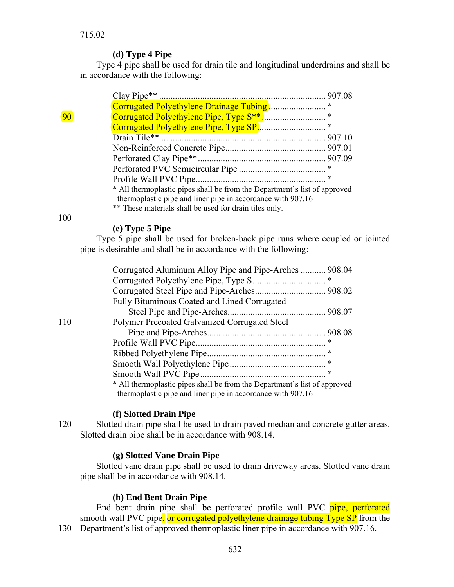## **(d) Type 4 Pipe**

 Type 4 pipe shall be used for drain tile and longitudinal underdrains and shall be in accordance with the following:

| $90\,$ |                                                                           | $\ast$ |
|--------|---------------------------------------------------------------------------|--------|
|        |                                                                           |        |
|        |                                                                           |        |
|        |                                                                           |        |
|        |                                                                           |        |
|        |                                                                           |        |
|        |                                                                           | ∗      |
|        | * All thermoplastic pipes shall be from the Department's list of approved |        |
|        | thermoplastic pipe and liner pipe in accordance with 907.16               |        |
|        | ** These materials shall be used for drain tiles only.                    |        |

100

## **(e) Type 5 Pipe**

 Type 5 pipe shall be used for broken-back pipe runs where coupled or jointed pipe is desirable and shall be in accordance with the following:

|     | Corrugated Aluminum Alloy Pipe and Pipe-Arches  908.04                    |   |  |
|-----|---------------------------------------------------------------------------|---|--|
|     |                                                                           | ∗ |  |
|     |                                                                           |   |  |
|     | <b>Fully Bituminous Coated and Lined Corrugated</b>                       |   |  |
|     |                                                                           |   |  |
| 110 | Polymer Precoated Galvanized Corrugated Steel                             |   |  |
|     |                                                                           |   |  |
|     |                                                                           |   |  |
|     |                                                                           |   |  |
|     |                                                                           |   |  |
|     |                                                                           | ∗ |  |
|     | * All thermoplastic pipes shall be from the Department's list of approved |   |  |
|     | thermoplastic pipe and liner pipe in accordance with 907.16               |   |  |

#### **(f) Slotted Drain Pipe**

120 Slotted drain pipe shall be used to drain paved median and concrete gutter areas. Slotted drain pipe shall be in accordance with 908.14.

#### **(g) Slotted Vane Drain Pipe**

 Slotted vane drain pipe shall be used to drain driveway areas. Slotted vane drain pipe shall be in accordance with 908.14.

## **(h) End Bent Drain Pipe**

End bent drain pipe shall be perforated profile wall PVC pipe, perforated smooth wall PVC pipe, or corrugated polyethylene drainage tubing Type SP from the 130 Department's list of approved thermoplastic liner pipe in accordance with 907.16.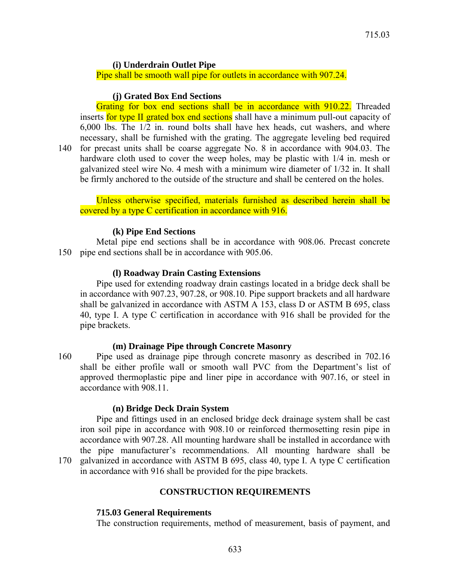### **(i) Underdrain Outlet Pipe**

Pipe shall be smooth wall pipe for outlets in accordance with 907.24.

#### **(j) Grated Box End Sections**

Grating for box end sections shall be in accordance with 910.22. Threaded inserts for type II grated box end sections shall have a minimum pull-out capacity of 6,000 lbs. The 1/2 in. round bolts shall have hex heads, cut washers, and where necessary, shall be furnished with the grating. The aggregate leveling bed required 140 for precast units shall be coarse aggregate No. 8 in accordance with 904.03. The hardware cloth used to cover the weep holes, may be plastic with 1/4 in. mesh or galvanized steel wire No. 4 mesh with a minimum wire diameter of 1/32 in. It shall be firmly anchored to the outside of the structure and shall be centered on the holes.

Unless otherwise specified, materials furnished as described herein shall be covered by a type C certification in accordance with 916.

#### **(k) Pipe End Sections**

 Metal pipe end sections shall be in accordance with 908.06. Precast concrete 150 pipe end sections shall be in accordance with 905.06.

#### **(l) Roadway Drain Casting Extensions**

 Pipe used for extending roadway drain castings located in a bridge deck shall be in accordance with 907.23, 907.28, or 908.10. Pipe support brackets and all hardware shall be galvanized in accordance with ASTM A 153, class D or ASTM B 695, class 40, type I. A type C certification in accordance with 916 shall be provided for the pipe brackets.

#### **(m) Drainage Pipe through Concrete Masonry**

160 Pipe used as drainage pipe through concrete masonry as described in 702.16 shall be either profile wall or smooth wall PVC from the Department's list of approved thermoplastic pipe and liner pipe in accordance with 907.16, or steel in accordance with 908.11.

#### **(n) Bridge Deck Drain System**

 Pipe and fittings used in an enclosed bridge deck drainage system shall be cast iron soil pipe in accordance with 908.10 or reinforced thermosetting resin pipe in accordance with 907.28. All mounting hardware shall be installed in accordance with the pipe manufacturer's recommendations. All mounting hardware shall be 170 galvanized in accordance with ASTM B 695, class 40, type I. A type C certification in accordance with 916 shall be provided for the pipe brackets.

#### **CONSTRUCTION REQUIREMENTS**

#### **715.03 General Requirements**

The construction requirements, method of measurement, basis of payment, and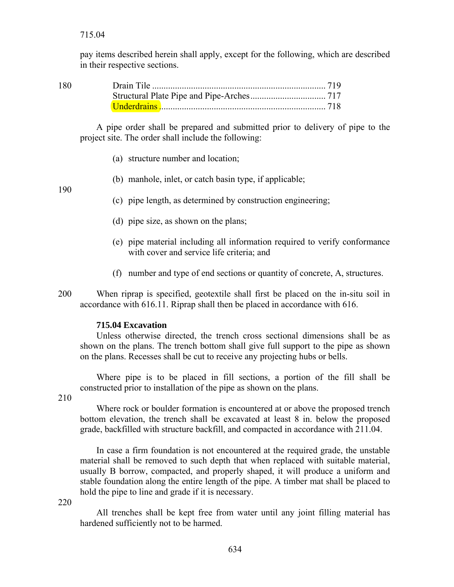pay items described herein shall apply, except for the following, which are described in their respective sections.

| 180 |  |
|-----|--|
|     |  |
|     |  |

 A pipe order shall be prepared and submitted prior to delivery of pipe to the project site. The order shall include the following:

- (a) structure number and location;
- (b) manhole, inlet, or catch basin type, if applicable;

190

- (c) pipe length, as determined by construction engineering;
- (d) pipe size, as shown on the plans;
- (e) pipe material including all information required to verify conformance with cover and service life criteria; and
- (f) number and type of end sections or quantity of concrete, A, structures.
- 200 When riprap is specified, geotextile shall first be placed on the in-situ soil in accordance with 616.11. Riprap shall then be placed in accordance with 616.

## **715.04 Excavation**

 Unless otherwise directed, the trench cross sectional dimensions shall be as shown on the plans. The trench bottom shall give full support to the pipe as shown on the plans. Recesses shall be cut to receive any projecting hubs or bells.

 Where pipe is to be placed in fill sections, a portion of the fill shall be constructed prior to installation of the pipe as shown on the plans.

210

 Where rock or boulder formation is encountered at or above the proposed trench bottom elevation, the trench shall be excavated at least 8 in. below the proposed grade, backfilled with structure backfill, and compacted in accordance with 211.04.

 In case a firm foundation is not encountered at the required grade, the unstable material shall be removed to such depth that when replaced with suitable material, usually B borrow, compacted, and properly shaped, it will produce a uniform and stable foundation along the entire length of the pipe. A timber mat shall be placed to hold the pipe to line and grade if it is necessary.

220

 All trenches shall be kept free from water until any joint filling material has hardened sufficiently not to be harmed.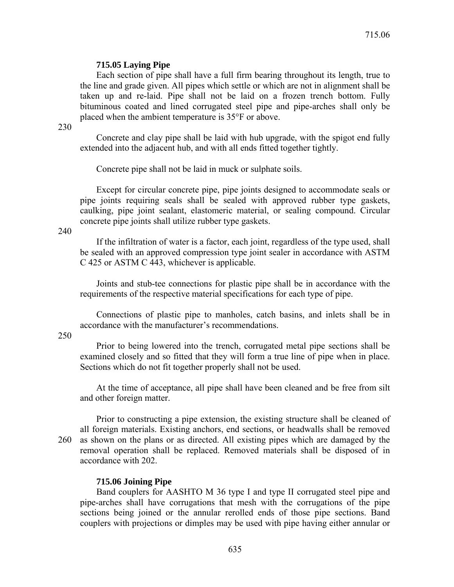## **715.05 Laying Pipe**

 Each section of pipe shall have a full firm bearing throughout its length, true to the line and grade given. All pipes which settle or which are not in alignment shall be taken up and re-laid. Pipe shall not be laid on a frozen trench bottom. Fully bituminous coated and lined corrugated steel pipe and pipe-arches shall only be placed when the ambient temperature is 35°F or above.

230

 Concrete and clay pipe shall be laid with hub upgrade, with the spigot end fully extended into the adjacent hub, and with all ends fitted together tightly.

Concrete pipe shall not be laid in muck or sulphate soils.

 Except for circular concrete pipe, pipe joints designed to accommodate seals or pipe joints requiring seals shall be sealed with approved rubber type gaskets, caulking, pipe joint sealant, elastomeric material, or sealing compound. Circular concrete pipe joints shall utilize rubber type gaskets.

240

 If the infiltration of water is a factor, each joint, regardless of the type used, shall be sealed with an approved compression type joint sealer in accordance with ASTM C 425 or ASTM C 443, whichever is applicable.

 Joints and stub-tee connections for plastic pipe shall be in accordance with the requirements of the respective material specifications for each type of pipe.

 Connections of plastic pipe to manholes, catch basins, and inlets shall be in accordance with the manufacturer's recommendations.

250

 Prior to being lowered into the trench, corrugated metal pipe sections shall be examined closely and so fitted that they will form a true line of pipe when in place. Sections which do not fit together properly shall not be used.

 At the time of acceptance, all pipe shall have been cleaned and be free from silt and other foreign matter.

 Prior to constructing a pipe extension, the existing structure shall be cleaned of all foreign materials. Existing anchors, end sections, or headwalls shall be removed 260 as shown on the plans or as directed. All existing pipes which are damaged by the removal operation shall be replaced. Removed materials shall be disposed of in accordance with 202.

## **715.06 Joining Pipe**

 Band couplers for AASHTO M 36 type I and type II corrugated steel pipe and pipe-arches shall have corrugations that mesh with the corrugations of the pipe sections being joined or the annular rerolled ends of those pipe sections. Band couplers with projections or dimples may be used with pipe having either annular or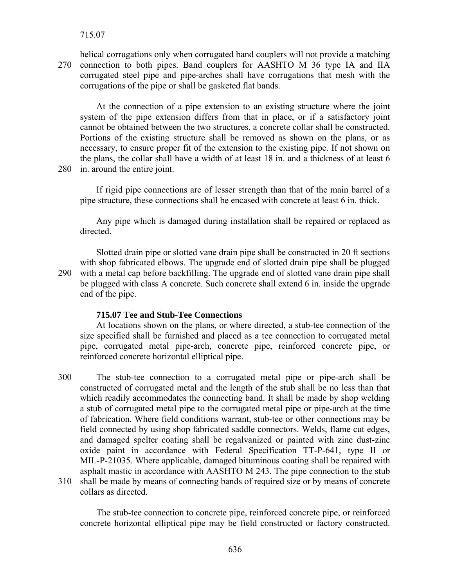715.07

helical corrugations only when corrugated band couplers will not provide a matching 270 connection to both pipes. Band couplers for AASHTO M 36 type IA and IIA corrugated steel pipe and pipe-arches shall have corrugations that mesh with the corrugations of the pipe or shall be gasketed flat bands.

 At the connection of a pipe extension to an existing structure where the joint system of the pipe extension differs from that in place, or if a satisfactory joint cannot be obtained between the two structures, a concrete collar shall be constructed. Portions of the existing structure shall be removed as shown on the plans, or as necessary, to ensure proper fit of the extension to the existing pipe. If not shown on the plans, the collar shall have a width of at least 18 in. and a thickness of at least 6 280 in. around the entire joint.

 If rigid pipe connections are of lesser strength than that of the main barrel of a pipe structure, these connections shall be encased with concrete at least 6 in. thick.

 Any pipe which is damaged during installation shall be repaired or replaced as directed.

 Slotted drain pipe or slotted vane drain pipe shall be constructed in 20 ft sections with shop fabricated elbows. The upgrade end of slotted drain pipe shall be plugged 290 with a metal cap before backfilling. The upgrade end of slotted vane drain pipe shall be plugged with class A concrete. Such concrete shall extend 6 in. inside the upgrade end of the pipe.

### **715.07 Tee and Stub-Tee Connections**

 At locations shown on the plans, or where directed, a stub-tee connection of the size specified shall be furnished and placed as a tee connection to corrugated metal pipe, corrugated metal pipe-arch, concrete pipe, reinforced concrete pipe, or reinforced concrete horizontal elliptical pipe.

300 The stub-tee connection to a corrugated metal pipe or pipe-arch shall be constructed of corrugated metal and the length of the stub shall be no less than that which readily accommodates the connecting band. It shall be made by shop welding a stub of corrugated metal pipe to the corrugated metal pipe or pipe-arch at the time of fabrication. Where field conditions warrant, stub-tee or other connections may be field connected by using shop fabricated saddle connectors. Welds, flame cut edges, and damaged spelter coating shall be regalvanized or painted with zinc dust-zinc oxide paint in accordance with Federal Specification TT-P-641, type II or MIL-P-21035. Where applicable, damaged bituminous coating shall be repaired with asphalt mastic in accordance with AASHTO M 243. The pipe connection to the stub 310 shall be made by means of connecting bands of required size or by means of concrete collars as directed.

 The stub-tee connection to concrete pipe, reinforced concrete pipe, or reinforced concrete horizontal elliptical pipe may be field constructed or factory constructed.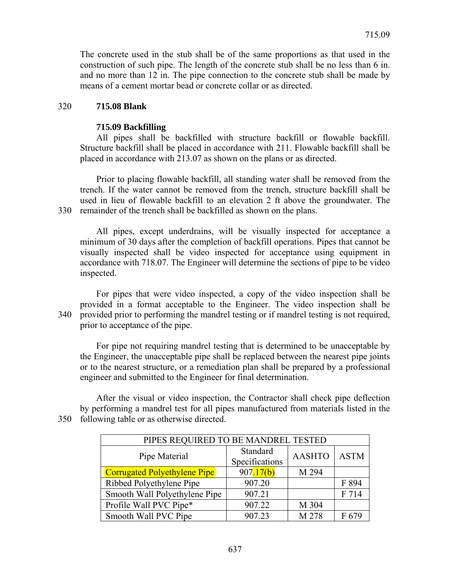The concrete used in the stub shall be of the same proportions as that used in the construction of such pipe. The length of the concrete stub shall be no less than 6 in. and no more than 12 in. The pipe connection to the concrete stub shall be made by means of a cement mortar bead or concrete collar or as directed.

## 320 **715.08 Blank**

### **715.09 Backfilling**

 All pipes shall be backfilled with structure backfill or flowable backfill. Structure backfill shall be placed in accordance with 211. Flowable backfill shall be placed in accordance with 213.07 as shown on the plans or as directed.

 Prior to placing flowable backfill, all standing water shall be removed from the trench. If the water cannot be removed from the trench, structure backfill shall be used in lieu of flowable backfill to an elevation 2 ft above the groundwater. The 330 remainder of the trench shall be backfilled as shown on the plans.

 All pipes, except underdrains, will be visually inspected for acceptance a minimum of 30 days after the completion of backfill operations. Pipes that cannot be visually inspected shall be video inspected for acceptance using equipment in accordance with 718.07. The Engineer will determine the sections of pipe to be video inspected.

 For pipes that were video inspected, a copy of the video inspection shall be provided in a format acceptable to the Engineer. The video inspection shall be 340 provided prior to performing the mandrel testing or if mandrel testing is not required, prior to acceptance of the pipe.

 For pipe not requiring mandrel testing that is determined to be unacceptable by the Engineer, the unacceptable pipe shall be replaced between the nearest pipe joints or to the nearest structure, or a remediation plan shall be prepared by a professional engineer and submitted to the Engineer for final determination.

 After the visual or video inspection, the Contractor shall check pipe deflection by performing a mandrel test for all pipes manufactured from materials listed in the 350 following table or as otherwise directed.

| PIPES REQUIRED TO BE MANDREL TESTED |                            |               |             |  |
|-------------------------------------|----------------------------|---------------|-------------|--|
| Pipe Material                       | Standard<br>Specifications | <b>AASHTO</b> | <b>ASTM</b> |  |
| <b>Corrugated Polyethylene Pipe</b> | 907.17(b)                  | M 294         |             |  |
| Ribbed Polyethylene Pipe            | 907.20                     |               | F 894       |  |
| Smooth Wall Polyethylene Pipe       | 907.21                     |               | F 714       |  |
| Profile Wall PVC Pipe*              | 907.22                     | M 304         |             |  |
| Smooth Wall PVC Pipe                | 907.23                     | M 278         | F 679       |  |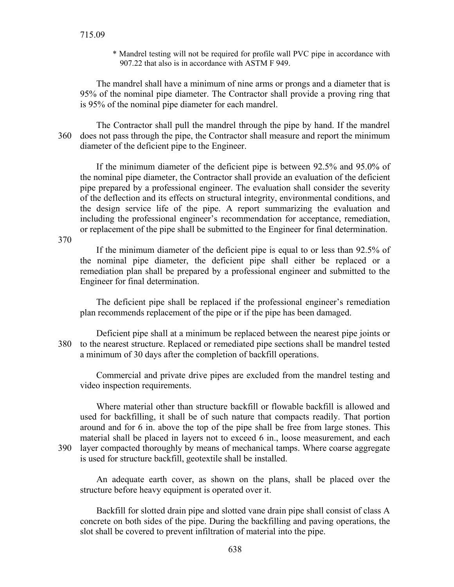\* Mandrel testing will not be required for profile wall PVC pipe in accordance with 907.22 that also is in accordance with ASTM F 949.

 The mandrel shall have a minimum of nine arms or prongs and a diameter that is 95% of the nominal pipe diameter. The Contractor shall provide a proving ring that is 95% of the nominal pipe diameter for each mandrel.

 The Contractor shall pull the mandrel through the pipe by hand. If the mandrel 360 does not pass through the pipe, the Contractor shall measure and report the minimum diameter of the deficient pipe to the Engineer.

 If the minimum diameter of the deficient pipe is between 92.5% and 95.0% of the nominal pipe diameter, the Contractor shall provide an evaluation of the deficient pipe prepared by a professional engineer. The evaluation shall consider the severity of the deflection and its effects on structural integrity, environmental conditions, and the design service life of the pipe. A report summarizing the evaluation and including the professional engineer's recommendation for acceptance, remediation, or replacement of the pipe shall be submitted to the Engineer for final determination.

370

 If the minimum diameter of the deficient pipe is equal to or less than 92.5% of the nominal pipe diameter, the deficient pipe shall either be replaced or a remediation plan shall be prepared by a professional engineer and submitted to the Engineer for final determination.

 The deficient pipe shall be replaced if the professional engineer's remediation plan recommends replacement of the pipe or if the pipe has been damaged.

 Deficient pipe shall at a minimum be replaced between the nearest pipe joints or 380 to the nearest structure. Replaced or remediated pipe sections shall be mandrel tested a minimum of 30 days after the completion of backfill operations.

 Commercial and private drive pipes are excluded from the mandrel testing and video inspection requirements.

 Where material other than structure backfill or flowable backfill is allowed and used for backfilling, it shall be of such nature that compacts readily. That portion around and for 6 in. above the top of the pipe shall be free from large stones. This material shall be placed in layers not to exceed 6 in., loose measurement, and each 390 layer compacted thoroughly by means of mechanical tamps. Where coarse aggregate is used for structure backfill, geotextile shall be installed.

 An adequate earth cover, as shown on the plans, shall be placed over the structure before heavy equipment is operated over it.

 Backfill for slotted drain pipe and slotted vane drain pipe shall consist of class A concrete on both sides of the pipe. During the backfilling and paving operations, the slot shall be covered to prevent infiltration of material into the pipe.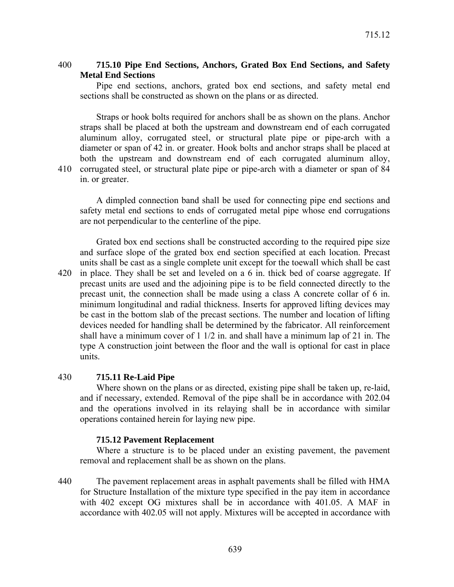## 400 **715.10 Pipe End Sections, Anchors, Grated Box End Sections, and Safety Metal End Sections**

 Pipe end sections, anchors, grated box end sections, and safety metal end sections shall be constructed as shown on the plans or as directed.

 Straps or hook bolts required for anchors shall be as shown on the plans. Anchor straps shall be placed at both the upstream and downstream end of each corrugated aluminum alloy, corrugated steel, or structural plate pipe or pipe-arch with a diameter or span of 42 in. or greater. Hook bolts and anchor straps shall be placed at both the upstream and downstream end of each corrugated aluminum alloy, 410 corrugated steel, or structural plate pipe or pipe-arch with a diameter or span of 84 in. or greater.

 A dimpled connection band shall be used for connecting pipe end sections and safety metal end sections to ends of corrugated metal pipe whose end corrugations are not perpendicular to the centerline of the pipe.

 Grated box end sections shall be constructed according to the required pipe size and surface slope of the grated box end section specified at each location. Precast units shall be cast as a single complete unit except for the toewall which shall be cast 420 in place. They shall be set and leveled on a 6 in. thick bed of coarse aggregate. If precast units are used and the adjoining pipe is to be field connected directly to the precast unit, the connection shall be made using a class A concrete collar of 6 in. minimum longitudinal and radial thickness. Inserts for approved lifting devices may be cast in the bottom slab of the precast sections. The number and location of lifting devices needed for handling shall be determined by the fabricator. All reinforcement shall have a minimum cover of  $1 \frac{1}{2}$  in. and shall have a minimum lap of 21 in. The type A construction joint between the floor and the wall is optional for cast in place units.

## 430 **715.11 Re-Laid Pipe**

 Where shown on the plans or as directed, existing pipe shall be taken up, re-laid, and if necessary, extended. Removal of the pipe shall be in accordance with 202.04 and the operations involved in its relaying shall be in accordance with similar operations contained herein for laying new pipe.

## **715.12 Pavement Replacement**

 Where a structure is to be placed under an existing pavement, the pavement removal and replacement shall be as shown on the plans.

440 The pavement replacement areas in asphalt pavements shall be filled with HMA for Structure Installation of the mixture type specified in the pay item in accordance with 402 except OG mixtures shall be in accordance with 401.05. A MAF in accordance with 402.05 will not apply. Mixtures will be accepted in accordance with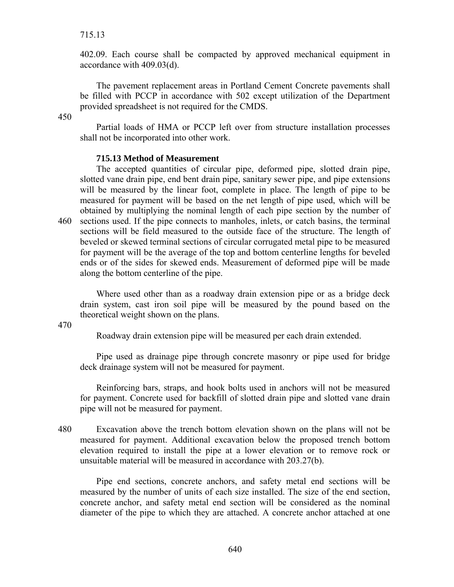## 715.13

402.09. Each course shall be compacted by approved mechanical equipment in accordance with 409.03(d).

 The pavement replacement areas in Portland Cement Concrete pavements shall be filled with PCCP in accordance with 502 except utilization of the Department provided spreadsheet is not required for the CMDS.

450

 Partial loads of HMA or PCCP left over from structure installation processes shall not be incorporated into other work.

## **715.13 Method of Measurement**

 The accepted quantities of circular pipe, deformed pipe, slotted drain pipe, slotted vane drain pipe, end bent drain pipe, sanitary sewer pipe, and pipe extensions will be measured by the linear foot, complete in place. The length of pipe to be measured for payment will be based on the net length of pipe used, which will be obtained by multiplying the nominal length of each pipe section by the number of 460 sections used. If the pipe connects to manholes, inlets, or catch basins, the terminal sections will be field measured to the outside face of the structure. The length of beveled or skewed terminal sections of circular corrugated metal pipe to be measured for payment will be the average of the top and bottom centerline lengths for beveled ends or of the sides for skewed ends. Measurement of deformed pipe will be made along the bottom centerline of the pipe.

 Where used other than as a roadway drain extension pipe or as a bridge deck drain system, cast iron soil pipe will be measured by the pound based on the theoretical weight shown on the plans.

470

Roadway drain extension pipe will be measured per each drain extended.

 Pipe used as drainage pipe through concrete masonry or pipe used for bridge deck drainage system will not be measured for payment.

 Reinforcing bars, straps, and hook bolts used in anchors will not be measured for payment. Concrete used for backfill of slotted drain pipe and slotted vane drain pipe will not be measured for payment.

480 Excavation above the trench bottom elevation shown on the plans will not be measured for payment. Additional excavation below the proposed trench bottom elevation required to install the pipe at a lower elevation or to remove rock or unsuitable material will be measured in accordance with 203.27(b).

 Pipe end sections, concrete anchors, and safety metal end sections will be measured by the number of units of each size installed. The size of the end section, concrete anchor, and safety metal end section will be considered as the nominal diameter of the pipe to which they are attached. A concrete anchor attached at one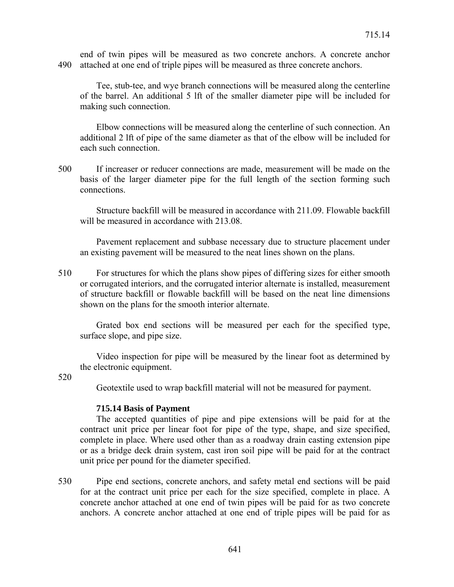end of twin pipes will be measured as two concrete anchors. A concrete anchor 490 attached at one end of triple pipes will be measured as three concrete anchors.

 Tee, stub-tee, and wye branch connections will be measured along the centerline of the barrel. An additional 5 lft of the smaller diameter pipe will be included for making such connection.

 Elbow connections will be measured along the centerline of such connection. An additional 2 lft of pipe of the same diameter as that of the elbow will be included for each such connection.

500 If increaser or reducer connections are made, measurement will be made on the basis of the larger diameter pipe for the full length of the section forming such connections.

 Structure backfill will be measured in accordance with 211.09. Flowable backfill will be measured in accordance with 213.08.

 Pavement replacement and subbase necessary due to structure placement under an existing pavement will be measured to the neat lines shown on the plans.

510 For structures for which the plans show pipes of differing sizes for either smooth or corrugated interiors, and the corrugated interior alternate is installed, measurement of structure backfill or flowable backfill will be based on the neat line dimensions shown on the plans for the smooth interior alternate.

 Grated box end sections will be measured per each for the specified type, surface slope, and pipe size.

 Video inspection for pipe will be measured by the linear foot as determined by the electronic equipment.

520

Geotextile used to wrap backfill material will not be measured for payment.

#### **715.14 Basis of Payment**

 The accepted quantities of pipe and pipe extensions will be paid for at the contract unit price per linear foot for pipe of the type, shape, and size specified, complete in place. Where used other than as a roadway drain casting extension pipe or as a bridge deck drain system, cast iron soil pipe will be paid for at the contract unit price per pound for the diameter specified.

530 Pipe end sections, concrete anchors, and safety metal end sections will be paid for at the contract unit price per each for the size specified, complete in place. A concrete anchor attached at one end of twin pipes will be paid for as two concrete anchors. A concrete anchor attached at one end of triple pipes will be paid for as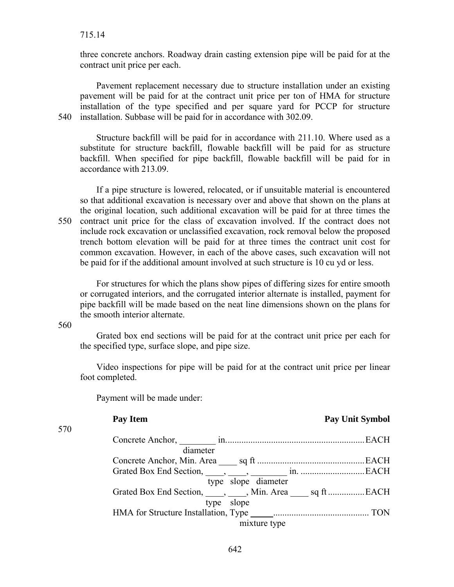three concrete anchors. Roadway drain casting extension pipe will be paid for at the contract unit price per each.

 Pavement replacement necessary due to structure installation under an existing pavement will be paid for at the contract unit price per ton of HMA for structure installation of the type specified and per square yard for PCCP for structure 540 installation. Subbase will be paid for in accordance with 302.09.

 Structure backfill will be paid for in accordance with 211.10. Where used as a substitute for structure backfill, flowable backfill will be paid for as structure backfill. When specified for pipe backfill, flowable backfill will be paid for in accordance with 213.09.

 If a pipe structure is lowered, relocated, or if unsuitable material is encountered so that additional excavation is necessary over and above that shown on the plans at the original location, such additional excavation will be paid for at three times the 550 contract unit price for the class of excavation involved. If the contract does not include rock excavation or unclassified excavation, rock removal below the proposed trench bottom elevation will be paid for at three times the contract unit cost for common excavation. However, in each of the above cases, such excavation will not be paid for if the additional amount involved at such structure is 10 cu yd or less.

 For structures for which the plans show pipes of differing sizes for entire smooth or corrugated interiors, and the corrugated interior alternate is installed, payment for pipe backfill will be made based on the neat line dimensions shown on the plans for the smooth interior alternate.

560

 Grated box end sections will be paid for at the contract unit price per each for the specified type, surface slope, and pipe size.

 Video inspections for pipe will be paid for at the contract unit price per linear foot completed.

Payment will be made under:

| 570 |                     |  |
|-----|---------------------|--|
|     |                     |  |
|     | diameter            |  |
|     |                     |  |
|     |                     |  |
|     | type slope diameter |  |
|     |                     |  |
|     | type slope          |  |
|     |                     |  |
|     | mixture type        |  |
|     |                     |  |

# **Pay Item Pay Unit Symbol 2018**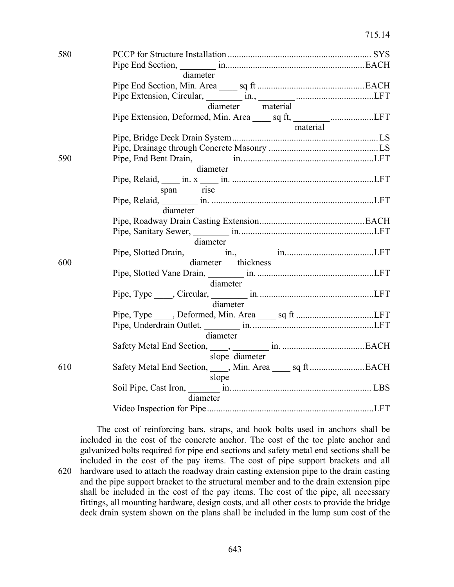| 580 |                                                                 |  |
|-----|-----------------------------------------------------------------|--|
|     |                                                                 |  |
|     | diameter                                                        |  |
|     |                                                                 |  |
|     |                                                                 |  |
|     | diameter material                                               |  |
|     | Pipe Extension, Deformed, Min. Area _____ sq ft, ___________LFT |  |
|     | material                                                        |  |
|     |                                                                 |  |
|     |                                                                 |  |
| 590 |                                                                 |  |
|     | diameter                                                        |  |
|     |                                                                 |  |
|     | span rise                                                       |  |
|     |                                                                 |  |
|     | diameter                                                        |  |
|     |                                                                 |  |
|     |                                                                 |  |
|     | diameter                                                        |  |
|     |                                                                 |  |
| 600 | diameter thickness                                              |  |
|     |                                                                 |  |
|     | diameter                                                        |  |
|     |                                                                 |  |
|     | diameter                                                        |  |
|     |                                                                 |  |
|     |                                                                 |  |
|     | diameter                                                        |  |
|     |                                                                 |  |
|     | slope diameter                                                  |  |
| 610 |                                                                 |  |
|     | slope                                                           |  |
|     |                                                                 |  |
|     | diameter                                                        |  |
|     |                                                                 |  |

 The cost of reinforcing bars, straps, and hook bolts used in anchors shall be included in the cost of the concrete anchor. The cost of the toe plate anchor and galvanized bolts required for pipe end sections and safety metal end sections shall be included in the cost of the pay items. The cost of pipe support brackets and all 620 hardware used to attach the roadway drain casting extension pipe to the drain casting and the pipe support bracket to the structural member and to the drain extension pipe shall be included in the cost of the pay items. The cost of the pipe, all necessary fittings, all mounting hardware, design costs, and all other costs to provide the bridge deck drain system shown on the plans shall be included in the lump sum cost of the